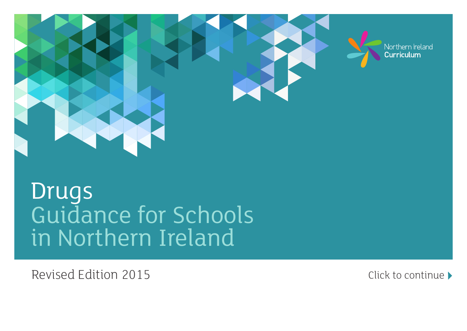

# Drugs [Guidance for Schools](#page-1-0) in Northern Ireland

Revised Edition 2015 **Click to continue**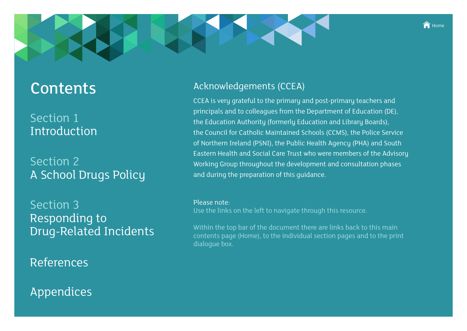#### $\bigcap$  Home

# <span id="page-1-0"></span>**Contents**

# Section 1 [Introduction](#page-2-0)

# Section 2 [A School Drugs Policy](#page-3-0)

Section 3 Responding to [Drug-Related Incidents](#page-4-0)

[References](#page-29-0)

# [Appendices](#page-5-0)

## Acknowledgements (CCEA)

CCEA is very grateful to the primary and post-primary teachers and principals and to colleagues from the Department of Education (DE), the Education Authority (formerly Education and Library Boards), the Council for Catholic Maintained Schools (CCMS), the Police Service of Northern Ireland (PSNI), the Public Health Agency (PHA) and South Eastern Health and Social Care Trust who were members of the Advisory Working Group throughout the development and consultation phases and during the preparation of this guidance.

#### Please note:

Use the links on the left to navigate through this resource.

Within the top bar of the document there are links back to this main contents page (Home), to the individual section pages and to the print dialogue box.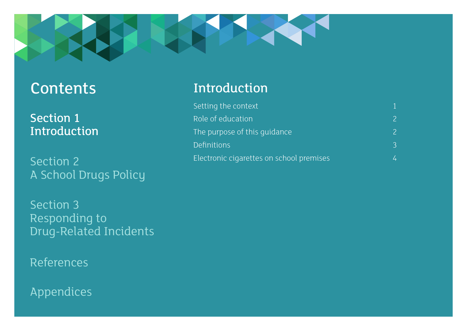Section 1 Introduction

Section 2 [A School Drugs Policy](#page-3-0)

Section 3 Responding to [Drug-Related Incidents](#page-4-0)

[References](#page-29-0)

[Appendices](#page-5-0)

# <span id="page-2-0"></span>[Contents](#page-1-0) Introduction

| Setting the context                      |                          |
|------------------------------------------|--------------------------|
| Role of education                        | $\overline{\phantom{a}}$ |
| The purpose of this quidance             | $\overline{\phantom{0}}$ |
| <b>Definitions</b>                       | 3                        |
| Electronic cigarettes on school premises |                          |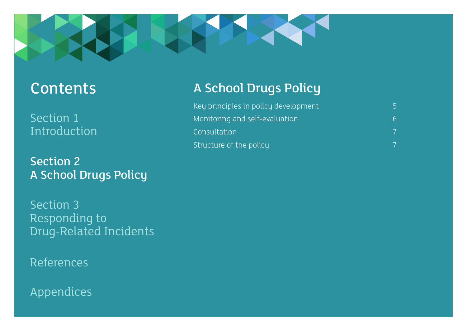<span id="page-3-0"></span>

Section 1 [Introduction](#page-2-0)

Section 2 A School Drugs Policy

Section 3 Responding to [Drug-Related Incidents](#page-4-0)

[References](#page-29-0)

[Appendices](#page-5-0)

# [Contents](#page-1-0) A School Drugs Policy

| Key principles in policy development |   |
|--------------------------------------|---|
| Monitoring and self-evaluation       | 6 |
| Consultation                         |   |
| Structure of the policy              |   |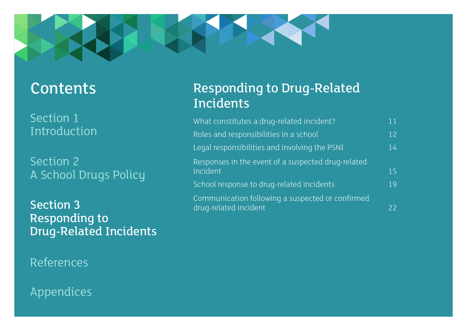<span id="page-4-0"></span>

# [Contents](#page-1-0)

Section 1 [Introduction](#page-2-0)

Section 2 [A School Drugs Policy](#page-3-0)

Section 3 Responding to Drug-Related Incidents

[References](#page-29-0)

# [Appendices](#page-5-0)

# Responding to Drug-Related Incidents

| What constitutes a drug-related incident?                                 | 11 |
|---------------------------------------------------------------------------|----|
| Roles and responsibilities in a school                                    | 12 |
| Legal responsibilities and involving the PSNI                             | 14 |
| Responses in the event of a suspected drug-related<br>incident            | 15 |
| School response to drug-related incidents                                 | 19 |
| Communication following a suspected or confirmed<br>drug-related incident | 22 |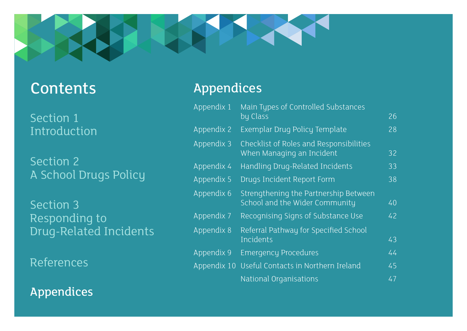<span id="page-5-0"></span>

# [Contents](#page-1-0)

Section 1 [Introduction](#page-2-0)

Section 2 [A School Drugs Policy](#page-3-0)

Section 3 Responding to [Drug-Related Incidents](#page-4-0)

[References](#page-29-0)

Appendices

# Appendices

| Appendix 1 | Main Types of Controlled Substances                                         |    |
|------------|-----------------------------------------------------------------------------|----|
|            | by Class                                                                    | 26 |
| Appendix 2 | Exemplar Drug Policy Template                                               | 28 |
| Appendix 3 | <b>Checklist of Roles and Responsibilities</b><br>When Managing an Incident | 32 |
| Appendix 4 | Handling Drug-Related Incidents                                             | 33 |
| Appendix 5 | Drugs Incident Report Form                                                  | 38 |
| Appendix 6 | Strengthening the Partnership Between<br>School and the Wider Community     | 40 |
| Appendix 7 | Recognising Signs of Substance Use                                          | 42 |
| Appendix 8 | Referral Pathway for Specified School<br>Incidents                          | 43 |
| Appendix 9 | <b>Emergency Procedures</b>                                                 | 44 |
|            | Appendix 10 Useful Contacts in Northern Ireland                             | 45 |
|            | <b>National Organisations</b>                                               | 47 |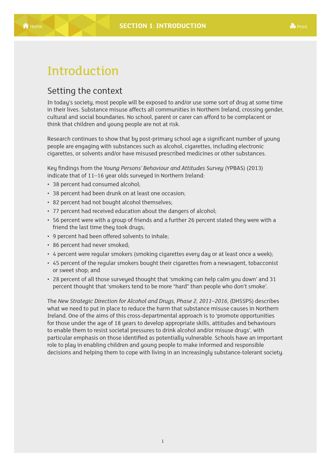# <span id="page-6-0"></span>Introduction

### Setting the context

In today's society, most people will be exposed to and/or use some sort of drug at some time in their lives. Substance misuse affects all communities in Northern Ireland, crossing gender, cultural and social boundaries. No school, parent or carer can afford to be complacent or think that children and young people are not at risk.

Research continues to show that by post-primary school age a significant number of young people are engaging with substances such as alcohol, cigarettes, including electronic cigarettes, or solvents and/or have misused prescribed medicines or other substances.

Key findings from the *Young Persons' Behaviour and Attitudes Survey* (YPBAS) (2013) indicate that of 11–16 year olds surveyed in Northern Ireland:

- 38 percent had consumed alcohol;
- 38 percent had been drunk on at least one occasion;
- 82 percent had not bought alcohol themselves;
- 77 percent had received education about the dangers of alcohol;
- 56 percent were with a group of friends and a further 26 percent stated they were with a friend the last time they took drugs;
- 9 percent had been offered solvents to inhale;
- 86 percent had never smoked;
- 4 percent were regular smokers (smoking cigarettes every day or at least once a week);
- 45 percent of the regular smokers bought their cigarettes from a newsagent, tobacconist or sweet shop; and
- 28 percent of all those surveyed thought that 'smoking can help calm you down' and 31 percent thought that 'smokers tend to be more "hard" than people who don't smoke'.

The *New Strategic Direction for Alcohol and Drugs, Phase 2, 2011–2016*, (DHSSPS) describes what we need to put in place to reduce the harm that substance misuse causes in Northern Ireland. One of the aims of this cross-departmental approach is to 'promote opportunities for those under the age of 18 years to develop appropriate skills, attitudes and behaviours to enable them to resist societal pressures to drink alcohol and/or misuse drugs', with particular emphasis on those identified as potentially vulnerable. Schools have an important role to play in enabling children and young people to make informed and responsible decisions and helping them to cope with living in an increasingly substance-tolerant society.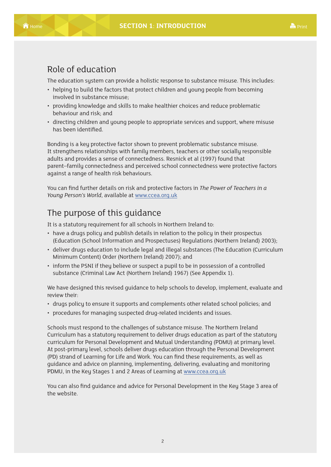### <span id="page-7-0"></span>Role of education

The education system can provide a holistic response to substance misuse. This includes:

- helping to build the factors that protect children and young people from becoming involved in substance misuse;
- providing knowledge and skills to make healthier choices and reduce problematic behaviour and risk; and
- directing children and young people to appropriate services and support, where misuse has been identified.

Bonding is a key protective factor shown to prevent problematic substance misuse. It strengthens relationships with family members, teachers or other socially responsible adults and provides a sense of connectedness. Resnick et al (1997) found that parent–family connectedness and perceived school connectedness were protective factors against a range of health risk behaviours.

You can find further details on risk and protective factors in *The Power of Teachers in a Young Person's World*, available at www.ccea.org.uk

# The purpose of this guidance

It is a statutory requirement for all schools in Northern Ireland to:

- have a drugs policy and publish details in relation to the policy in their prospectus (Education (School Information and Prospectuses) Regulations (Northern Ireland) 2003);
- deliver drugs education to include legal and illegal substances (The Education (Curriculum Minimum Content) Order (Northern Ireland) 2007); and
- inform the PSNI if they believe or suspect a pupil to be in possession of a controlled substance (Criminal Law Act (Northern Ireland) 1967) (See Appendix 1).

We have designed this revised guidance to help schools to develop, implement, evaluate and review their:

- drugs policy to ensure it supports and complements other related school policies; and
- procedures for managing suspected drug-related incidents and issues.

Schools must respond to the challenges of substance misuse. The Northern Ireland Curriculum has a statutory requirement to deliver drugs education as part of the statutory curriculum for Personal Development and Mutual Understanding (PDMU) at primary level. At post-primary level, schools deliver drugs education through the Personal Development (PD) strand of Learning for Life and Work. You can find these requirements, as well as guidance and advice on planning, implementing, delivering, evaluating and monitoring PDMU, in the Key Stages 1 and 2 Areas of Learning at www.ccea.org.uk

You can also find guidance and advice for Personal Development in the Key Stage 3 area of the website.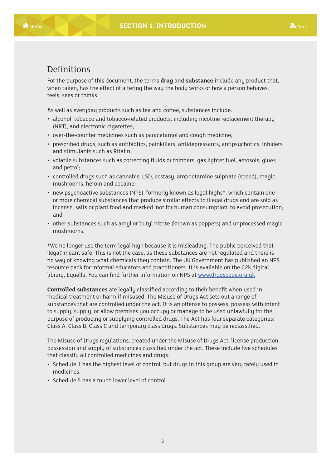### <span id="page-8-0"></span>Definitions

For the purpose of this document, the terms **drug** and **substance** include any product that, when taken, has the effect of altering the way the body works or how a person behaves, feels, sees or thinks.

As well as everyday products such as tea and coffee, substances include:

- alcohol, tobacco and tobacco-related products, including nicotine replacement therapy (NRT), and electronic cigarettes;
- over-the-counter medicines such as paracetamol and cough medicine;
- prescribed drugs, such as antibiotics, painkillers, antidepressants, antipsuchotics, inhalers and stimulants such as Ritalin;
- volatile substances such as correcting fluids or thinners, gas lighter fuel, aerosols, glues and petrol;
- controlled drugs such as cannabis, LSD, ecstasy, amphetamine sulphate (speed), magic mushrooms, heroin and cocaine;
- new psuchoactive substances (NPS), formerly known as legal highs\*, which contain one or more chemical substances that produce similar effects to illegal drugs and are sold as incense, salts or plant food and marked 'not for human consumption' to avoid prosecution; and
- other substances such as amyl or butyl nitrite (known as poppers) and unprocessed magic mushrooms.

\*We no longer use the term legal high because it is misleading. The public perceived that 'legal' meant safe. This is not the case, as these substances are not regulated and there is no way of knowing what chemicals they contain. The UK Government has published an NPS resource pack for informal educators and practitioners. It is available on the C2k digital library, Equella. You can find further information on NPS at www.drugscope.org.uk

**Controlled substances** are legally classified according to their benefit when used in medical treatment or harm if misused. The Misuse of Drugs Act sets out a range of substances that are controlled under the act. It is an offense to possess, possess with intent to supply, supply, or allow premises you occupy or manage to be used unlawfully for the purpose of producing or supplying controlled drugs. The Act has four separate categories: Class A, Class B, Class C and temporary class drugs. Substances may be reclassified.

The Misuse of Drugs regulations, created under the Misuse of Drugs Act, license production, possession and supply of substances classified under the act. These include five schedules that classify all controlled medicines and drugs.

- Schedule 1 has the highest level of control, but drugs in this group are very rarely used in medicines.
- Schedule 5 has a much lower level of control.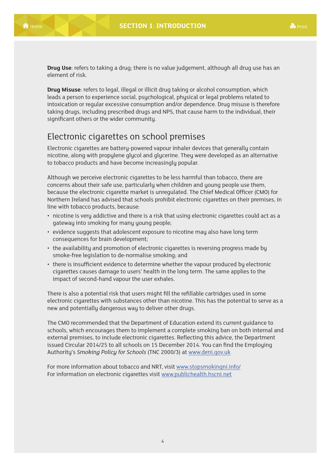<span id="page-9-0"></span>**Drug Use**: refers to taking a drug; there is no value judgement, although all drug use has an element of risk.

**Drug Misuse**: refers to legal, illegal or illicit drug taking or alcohol consumption, which leads a person to experience social, psychological, physical or legal problems related to intoxication or regular excessive consumption and/or dependence. Drug misuse is therefore taking drugs, including prescribed drugs and NPS, that cause harm to the individual, their significant others or the wider community.

### Electronic cigarettes on school premises

Electronic cigarettes are battery-powered vapour inhaler devices that generally contain nicotine, along with propylene glycol and glycerine. They were developed as an alternative to tobacco products and have become increasingly popular.

Although we perceive electronic cigarettes to be less harmful than tobacco, there are concerns about their safe use, particularly when children and young people use them, because the electronic cigarette market is unregulated. The Chief Medical Officer (CMO) for Northern Ireland has advised that schools prohibit electronic cigarettes on their premises, in line with tobacco products, because:

- nicotine is very addictive and there is a risk that using electronic cigarettes could act as a gateway into smoking for many young people;
- evidence suggests that adolescent exposure to nicotine may also have long term consequences for brain development;
- the availability and promotion of electronic cigarettes is reversing progress made by smoke-free legislation to de-normalise smoking; and
- there is insufficient evidence to determine whether the vapour produced by electronic cigarettes causes damage to users' health in the long term. The same applies to the impact of second-hand vapour the user exhales.

There is also a potential risk that users might fill the refillable cartridges used in some electronic cigarettes with substances other than nicotine. This has the potential to serve as a new and potentially dangerous way to deliver other drugs.

The CMO recommended that the Department of Education extend its current guidance to schools, which encourages them to implement a complete smoking ban on both internal and external premises, to include electronic cigarettes. Reflecting this advice, the Department issued Circular 2014/25 to all schools on 15 December 2014. You can find the Employing Authority's *Smoking Policy for Schools* (TNC 2000/3) at www.deni.gov.uk

For more information about tobacco and NRT, visit www.stopsmokingni.info/ For information on electronic cigarettes visit www.publichealth.hscni.net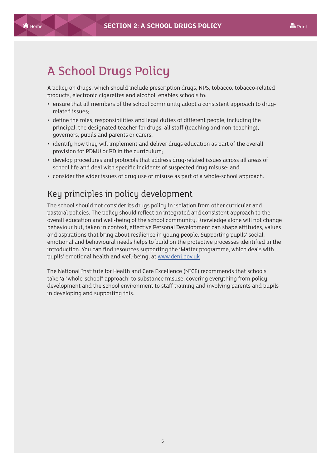# <span id="page-10-0"></span>A School Drugs Policy

A policy on drugs, which should include prescription drugs, NPS, tobacco, tobacco-related products, electronic cigarettes and alcohol, enables schools to:

- ensure that all members of the school community adopt a consistent approach to drugrelated issues;
- define the roles, responsibilities and legal duties of different people, including the principal, the designated teacher for drugs, all staff (teaching and non-teaching), governors, pupils and parents or carers;
- identify how they will implement and deliver drugs education as part of the overall provision for PDMU or PD in the curriculum;
- develop procedures and protocols that address drug-related issues across all areas of school life and deal with specific incidents of suspected drug misuse; and
- consider the wider issues of drug use or misuse as part of a whole-school approach.

## Key principles in policy development

The school should not consider its drugs policy in isolation from other curricular and pastoral policies. The policy should reflect an integrated and consistent approach to the overall education and well-being of the school community. Knowledge alone will not change behaviour but, taken in context, effective Personal Development can shape attitudes, values and aspirations that bring about resilience in young people. Supporting pupils' social, emotional and behavioural needs helps to build on the protective processes identified in the introduction. You can find resources supporting the iMatter programme, which deals with pupils' emotional health and well-being, at www.deni.gov.uk

The National Institute for Health and Care Excellence (NICE) recommends that schools take 'a "whole-school" approach' to substance misuse, covering everything from policy development and the school environment to staff training and involving parents and pupils in developing and supporting this.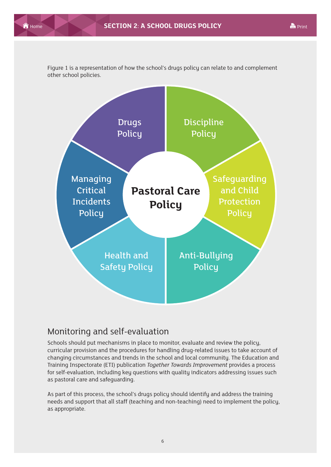

<span id="page-11-0"></span>Figure 1 is a representation of how the school's drugs policy can relate to and complement other school policies.

## Monitoring and self-evaluation

Schools should put mechanisms in place to monitor, evaluate and review the policy, curricular provision and the procedures for handling drug-related issues to take account of changing circumstances and trends in the school and local community. The Education and Training Inspectorate (ETI) publication *Together Towards Improvement* provides a process for self-evaluation, including key questions with quality indicators addressing issues such as pastoral care and safeguarding.

As part of this process, the school's drugs policy should identify and address the training needs and support that all staff (teaching and non-teaching) need to implement the policy, as appropriate.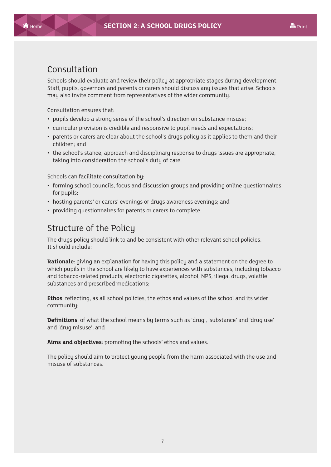### <span id="page-12-0"></span>Consultation

Schools should evaluate and review their policy at appropriate stages during development. Staff, pupils, governors and parents or carers should discuss any issues that arise. Schools may also invite comment from representatives of the wider community.

Consultation ensures that:

- pupils develop a strong sense of the school's direction on substance misuse;
- curricular provision is credible and responsive to pupil needs and expectations;
- parents or carers are clear about the school's drugs policy as it applies to them and their children; and
- the school's stance, approach and disciplinary response to drugs issues are appropriate, taking into consideration the school's duty of care.

Schools can facilitate consultation by:

- forming school councils, focus and discussion groups and providing online questionnaires for pupils;
- hosting parents' or carers' evenings or drugs awareness evenings; and
- providing questionnaires for parents or carers to complete.

## Structure of the Policy

The drugs policy should link to and be consistent with other relevant school policies. It should include:

**Rationale**: giving an explanation for having this policy and a statement on the degree to which pupils in the school are likely to have experiences with substances, including tobacco and tobacco-related products, electronic cigarettes, alcohol, NPS, illegal drugs, volatile substances and prescribed medications;

**Ethos**: reflecting, as all school policies, the ethos and values of the school and its wider community;

**Definitions**: of what the school means by terms such as 'drug', 'substance' and 'drug use' and 'drug misuse'; and

**Aims and objectives**: promoting the schools' ethos and values.

The policy should aim to protect young people from the harm associated with the use and misuse of substances.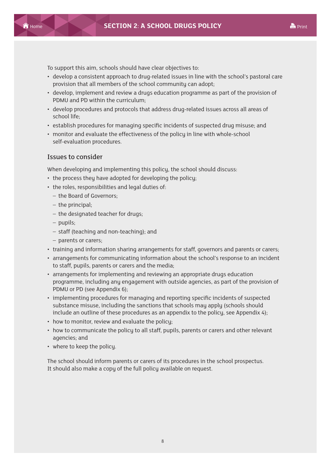To support this aim, schools should have clear objectives to:

- develop a consistent approach to drug-related issues in line with the school's pastoral care provision that all members of the school community can adopt;
- develop, implement and review a drugs education programme as part of the provision of PDMU and PD within the curriculum;
- develop procedures and protocols that address drug-related issues across all areas of school life;
- establish procedures for managing specific incidents of suspected drug misuse; and
- monitor and evaluate the effectiveness of the policy in line with whole-school self-evaluation procedures.

#### Issues to consider

When developing and implementing this policy, the school should discuss:

- the process they have adopted for developing the policy;
- the roles, responsibilities and legal duties of:
	- the Board of Governors;
	- the principal;
	- the designated teacher for drugs;
	- pupils;
	- staff (teaching and non-teaching); and
	- parents or carers;
- training and information sharing arrangements for staff, governors and parents or carers;
- arrangements for communicating information about the school's response to an incident to staff, pupils, parents or carers and the media;
- arrangements for implementing and reviewing an appropriate drugs education programme, including any engagement with outside agencies, as part of the provision of PDMU or PD (see Appendix 6);
- implementing procedures for managing and reporting specific incidents of suspected substance misuse, including the sanctions that schools may apply (schools should include an outline of these procedures as an appendix to the policy, see Appendix 4);
- how to monitor, review and evaluate the policy;
- how to communicate the policy to all staff, pupils, parents or carers and other relevant agencies; and
- where to keep the policy.

The school should inform parents or carers of its procedures in the school prospectus. It should also make a copy of the full policy available on request.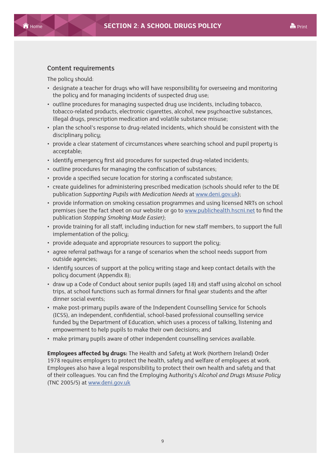#### Content requirements

The policy should:

- designate a teacher for drugs who will have responsibility for overseeing and monitoring the policy and for managing incidents of suspected drug use;
- outline procedures for managing suspected drug use incidents, including tobacco, tobacco-related products, electronic cigarettes, alcohol, new psychoactive substances, illegal drugs, prescription medication and volatile substance misuse;
- plan the school's response to drug-related incidents, which should be consistent with the disciplinary policy;
- provide a clear statement of circumstances where searching school and pupil property is acceptable;
- identify emergency first aid procedures for suspected drug-related incidents;
- outline procedures for managing the confiscation of substances;
- provide a specified secure location for storing a confiscated substance;
- create guidelines for administering prescribed medication (schools should refer to the DE publication *Supporting Pupils with Medication Needs* at www.deni.gov.uk);
- provide information on smoking cessation programmes and using licensed NRTs on school premises (see the fact sheet on our website or go to www.publichealth.hscni.net to find the publication *Stopping Smoking Made Easier)*;
- provide training for all staff, including induction for new staff members, to support the full implementation of the policy;
- provide adequate and appropriate resources to support the policy;
- agree referral pathways for a range of scenarios when the school needs support from outside agencies;
- identify sources of support at the policy writing stage and keep contact details with the policy document (Appendix 8);
- draw up a Code of Conduct about senior pupils (aged 18) and staff using alcohol on school trips, at school functions such as formal dinners for final year students and the after dinner social events;
- make post-primary pupils aware of the Independent Counselling Service for Schools (ICSS), an independent, confidential, school-based professional counselling service funded by the Department of Education, which uses a process of talking, listening and empowerment to help pupils to make their own decisions; and
- make primary pupils aware of other independent counselling services available.

**Employees affected by drugs:** The Health and Safety at Work (Northern Ireland) Order 1978 requires employers to protect the health, safety and welfare of employees at work. Employees also have a legal responsibility to protect their own health and safety and that of their colleagues. You can find the Employing Authority's *Alcohol and Drugs Misuse Policy* (TNC 2005/5) at www.deni.gov.uk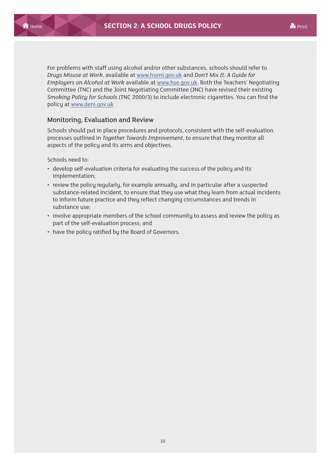For problems with staff using alcohol and/or other substances, schools should refer to *Drugs Misuse at Work*, available at www.hseni.gov.uk and *Don't Mix It: A Guide for Employers on Alcohol at Work* available at www.hse.gov.uk. Both the Teachers' Negotiating Committee (TNC) and the Joint Negotiating Committee (JNC) have revised their existing *Smoking Policy for Schools* (TNC 2000/3) to include electronic cigarettes. You can find the policy at www.deni.gov.uk

#### Monitoring, Evaluation and Review

Schools should put in place procedures and protocols, consistent with the self-evaluation processes outlined in *Together Towards Improvement*, to ensure that they monitor all aspects of the policy and its aims and objectives.

Schools need to:

- develop self-evaluation criteria for evaluating the success of the policy and its implementation;
- review the policy regularly, for example annually, and in particular after a suspected substance-related incident, to ensure that they use what they learn from actual incidents to inform future practice and they reflect changing circumstances and trends in substance use;
- involve appropriate members of the school community to assess and review the policy as part of the self-evaluation process; and
- have the policy ratified by the Board of Governors.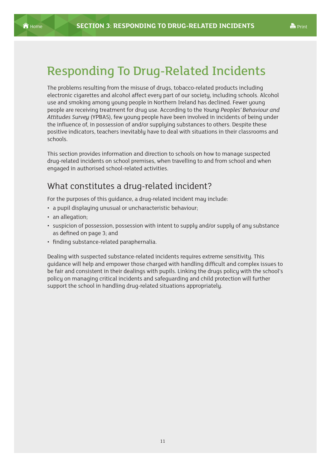# <span id="page-16-0"></span>Responding To Drug-Related Incidents

The problems resulting from the misuse of drugs, tobacco-related products including electronic cigarettes and alcohol affect every part of our society, including schools. Alcohol use and smoking among young people in Northern Ireland has declined. Fewer young people are receiving treatment for drug use. According to the *Young Peoples' Behaviour and Attitudes Survey* (YPBAS), few young people have been involved in incidents of being under the influence of, in possession of and/or supplying substances to others. Despite these positive indicators, teachers inevitably have to deal with situations in their classrooms and schools.

This section provides information and direction to schools on how to manage suspected drug-related incidents on school premises, when travelling to and from school and when engaged in authorised school-related activities.

## What constitutes a drug-related incident?

For the purposes of this guidance, a drug-related incident may include:

- a pupil displaying unusual or uncharacteristic behaviour;
- an allegation:
- suspicion of possession, possession with intent to supply and/or supply of any substance as defined on page 3; and
- finding substance-related paraphernalia.

Dealing with suspected substance-related incidents requires extreme sensitivity. This guidance will help and empower those charged with handling difficult and complex issues to be fair and consistent in their dealings with pupils. Linking the drugs policy with the school's policy on managing critical incidents and safeguarding and child protection will further support the school in handling drug-related situations appropriately.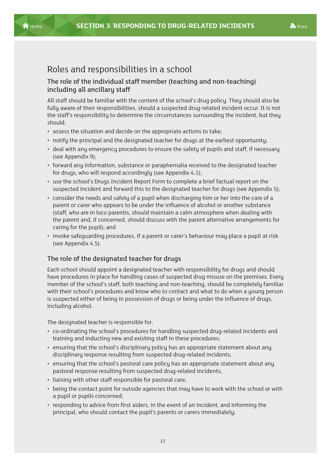### <span id="page-17-0"></span>Roles and responsibilities in a school

### The role of the individual staff member (teaching and non-teaching) including all ancillary staff

All staff should be familiar with the content of the school's drug policy. They should also be fully aware of their responsibilities, should a suspected drug-related incident occur. It is not the staff's responsibility to determine the circumstances surrounding the incident, but they should:

- assess the situation and decide on the appropriate actions to take;
- notify the principal and the designated teacher for drugs at the earliest opportunity;
- deal with any emergency procedures to ensure the safety of pupils and staff, if necessary (see Appendix 9);
- forward any information, substance or paraphernalia received to the designated teacher for drugs, who will respond accordingly (see Appendix 4.1);
- use the school's Drugs Incident Report Form to complete a brief factual report on the suspected incident and forward this to the designated teacher for drugs (see Appendix 5);
- consider the needs and safety of a pupil when discharging him or her into the care of a parent or carer who appears to be under the influence of alcohol or another substance (staff, who are in loco parentis, should maintain a calm atmosphere when dealing with the parent and, if concerned, should discuss with the parent alternative arrangements for caring for the pupil); and
- invoke safeguarding procedures, if a parent or carer's behaviour may place a pupil at risk (see Appendix 4.5).

#### The role of the designated teacher for drugs

Each school should appoint a designated teacher with responsibility for drugs and should have procedures in place for handling cases of suspected drug misuse on the premises. Every member of the school's staff, both teaching and non-teaching, should be completely familiar with their school's procedures and know who to contact and what to do when a young person is suspected either of being in possession of drugs or being under the influence of drugs, including alcohol.

The designated teacher is responsible for:

- co-ordinating the school's procedures for handling suspected drug-related incidents and training and inducting new and existing staff in these procedures;
- ensuring that the school's disciplinary policy has an appropriate statement about any disciplinary response resulting from suspected drug-related incidents;
- ensuring that the school's pastoral care policy has an appropriate statement about any pastoral response resulting from suspected drug-related incidents;
- liaising with other staff responsible for pastoral care;
- being the contact point for outside agencies that may have to work with the school or with a pupil or pupils concerned;
- responding to advice from first aiders, in the event of an incident, and informing the principal, who should contact the pupil's parents or carers immediately;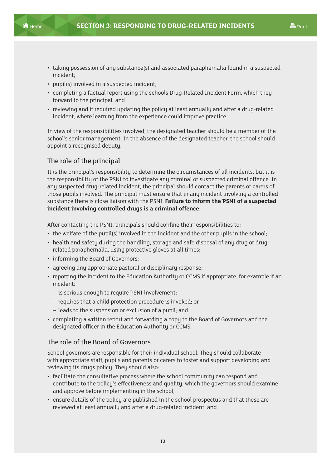

- taking possession of any substance(s) and associated paraphernalia found in a suspected incident;
- pupil(s) involved in a suspected incident;
- completing a factual report using the schools Drug-Related Incident Form, which they forward to the principal; and
- reviewing and if required updating the policy at least annually and after a drug-related incident, where learning from the experience could improve practice.

In view of the responsibilities involved, the designated teacher should be a member of the school's senior management. In the absence of the designated teacher, the school should appoint a recognised deputy.

#### The role of the principal

It is the principal's responsibility to determine the circumstances of all incidents, but it is the responsibility of the PSNI to investigate any criminal or suspected criminal offence. In any suspected drug-related incident, the principal should contact the parents or carers of those pupils involved. The principal must ensure that in any incident involving a controlled substance there is close liaison with the PSNI. **Failure to inform the PSNI of a suspected incident involving controlled drugs is a criminal offence.**

After contacting the PSNI, principals should confine their responsibilities to:

- the welfare of the pupil(s) involved in the incident and the other pupils in the school;
- health and safety during the handling, storage and safe disposal of any drug or drugrelated paraphernalia, using protective gloves at all times;
- informing the Board of Governors;
- agreeing any appropriate pastoral or disciplinary response;
- reporting the incident to the Education Authority or CCMS if appropriate, for example if an incident:
	- is serious enough to require PSNI involvement;
	- requires that a child protection procedure is invoked; or
	- leads to the suspension or exclusion of a pupil; and
- completing a written report and forwarding a copy to the Board of Governors and the designated officer in the Education Authority or CCMS.

#### The role of the Board of Governors

School governors are responsible for their individual school. They should collaborate with appropriate staff, pupils and parents or carers to foster and support developing and reviewing its drugs policy. They should also:

- facilitate the consultative process where the school community can respond and contribute to the policy's effectiveness and quality, which the governors should examine and approve before implementing in the school;
- ensure details of the policu are published in the school prospectus and that these are reviewed at least annually and after a drug-related incident; and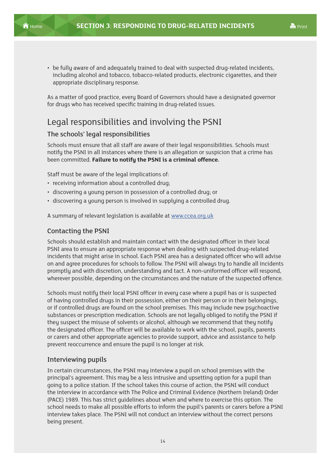<span id="page-19-0"></span>• be fully aware of and adequately trained to deal with suspected drug-related incidents, including alcohol and tobacco, tobacco-related products, electronic cigarettes, and their appropriate disciplinary response.

As a matter of good practice, every Board of Governors should have a designated governor for drugs who has received specific training in drug-related issues.

## Legal responsibilities and involving the PSNI

#### The schools' legal responsibilities

Schools must ensure that all staff are aware of their legal responsibilities. Schools must notify the PSNI in all instances where there is an allegation or suspicion that a crime has been committed. **Failure to notify the PSNI is a criminal offence.**

Staff must be aware of the legal implications of:

- receiving information about a controlled drug;
- discovering a young person in possession of a controlled drug; or
- discovering a young person is involved in supplying a controlled drug.

A summary of relevant legislation is available at www.ccea.org.uk

#### Contacting the PSNI

Schools should establish and maintain contact with the designated officer in their local PSNI area to ensure an appropriate response when dealing with suspected drug-related incidents that might arise in school. Each PSNI area has a designated officer who will advise on and agree procedures for schools to follow. The PSNI will always try to handle all incidents promptly and with discretion, understanding and tact. A non-uniformed officer will respond, wherever possible, depending on the circumstances and the nature of the suspected offence.

Schools must notify their local PSNI officer in every case where a pupil has or is suspected of having controlled drugs in their possession, either on their person or in their belongings, or if controlled drugs are found on the school premises. This may include new psychoactive substances or prescription medication. Schools are not legally obliged to notify the PSNI if they suspect the misuse of solvents or alcohol, although we recommend that they notify the designated officer. The officer will be available to work with the school, pupils, parents or carers and other appropriate agencies to provide support, advice and assistance to help prevent reoccurrence and ensure the pupil is no longer at risk.

#### Interviewing pupils

In certain circumstances, the PSNI may interview a pupil on school premises with the principal's agreement. This may be a less intrusive and upsetting option for a pupil than going to a police station. If the school takes this course of action, the PSNI will conduct the interview in accordance with The Police and Criminal Evidence (Northern Ireland) Order (PACE) 1989. This has strict guidelines about when and where to exercise this option. The school needs to make all possible efforts to inform the pupil's parents or carers before a PSNI interview takes place. The PSNI will not conduct an interview without the correct persons being present.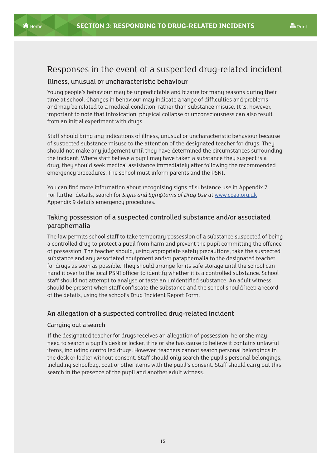<span id="page-20-0"></span>

# Responses in the event of a suspected drug-related incident

#### Illness, unusual or uncharacteristic behaviour

Young people's behaviour may be unpredictable and bizarre for many reasons during their time at school. Changes in behaviour may indicate a range of difficulties and problems and may be related to a medical condition, rather than substance misuse. It is, however, important to note that intoxication, physical collapse or unconsciousness can also result from an initial experiment with drugs.

Staff should bring any indications of illness, unusual or uncharacteristic behaviour because of suspected substance misuse to the attention of the designated teacher for drugs. They should not make any judgement until they have determined the circumstances surrounding the incident. Where staff believe a pupil may have taken a substance they suspect is a drug, they should seek medical assistance immediately after following the recommended emergency procedures. The school must inform parents and the PSNI.

You can find more information about recognising signs of substance use in Appendix 7. For further details, search for *Signs and Symptoms of Drug Use* at www.ccea.org.uk Appendix 9 details emergency procedures.

#### Taking possession of a suspected controlled substance and/or associated paraphernalia

The law permits school staff to take temporary possession of a substance suspected of being a controlled drug to protect a pupil from harm and prevent the pupil committing the offence of possession. The teacher should, using appropriate safety precautions, take the suspected substance and any associated equipment and/or paraphernalia to the designated teacher for drugs as soon as possible. They should arrange for its safe storage until the school can hand it over to the local PSNI officer to identify whether it is a controlled substance. School staff should not attempt to analyse or taste an unidentified substance. An adult witness should be present when staff confiscate the substance and the school should keep a record of the details, using the school's Drug Incident Report Form.

#### An allegation of a suspected controlled drug-related incident

#### Carrying out a search

If the designated teacher for drugs receives an allegation of possession, he or she may need to search a pupil's desk or locker, if he or she has cause to believe it contains unlawful items, including controlled drugs. However, teachers cannot search personal belongings in the desk or locker without consent. Staff should only search the pupil's personal belongings, including schoolbag, coat or other items with the pupil's consent. Staff should carry out this search in the presence of the pupil and another adult witness.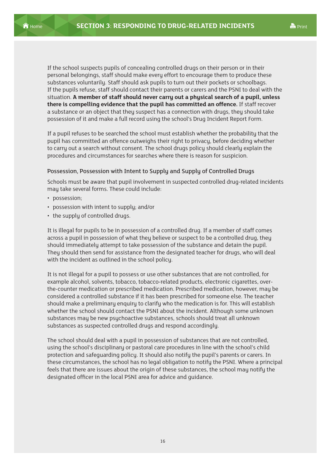If the school suspects pupils of concealing controlled drugs on their person or in their personal belongings, staff should make every effort to encourage them to produce these substances voluntarily. Staff should ask pupils to turn out their pockets or schoolbags. If the pupils refuse, staff should contact their parents or carers and the PSNI to deal with the situation. **A member of staff should never carry out a physical search of a pupil, unless there is compelling evidence that the pupil has committed an offence.** If staff recover a substance or an object that they suspect has a connection with drugs, they should take possession of it and make a full record using the school's Drug Incident Report Form.

If a pupil refuses to be searched the school must establish whether the probability that the pupil has committed an offence outweighs their right to privacy, before deciding whether to carry out a search without consent. The school drugs policy should clearly explain the procedures and circumstances for searches where there is reason for suspicion.

#### Possession, Possession with Intent to Supply and Supply of Controlled Drugs

Schools must be aware that pupil involvement in suspected controlled drug-related incidents may take several forms. These could include:

- possession;
- possession with intent to supply; and/or
- the supply of controlled drugs.

It is illegal for pupils to be in possession of a controlled drug. If a member of staff comes across a pupil in possession of what they believe or suspect to be a controlled drug, they should immediately attempt to take possession of the substance and detain the pupil. They should then send for assistance from the designated teacher for drugs, who will deal with the incident as outlined in the school policy.

It is not illegal for a pupil to possess or use other substances that are not controlled, for example alcohol, solvents, tobacco, tobacco-related products, electronic cigarettes, overthe-counter medication or prescribed medication. Prescribed medication, however, may be considered a controlled substance if it has been prescribed for someone else. The teacher should make a preliminary enquiry to clarify who the medication is for. This will establish whether the school should contact the PSNI about the incident. Although some unknown substances may be new psychoactive substances, schools should treat all unknown substances as suspected controlled drugs and respond accordingly.

The school should deal with a pupil in possession of substances that are not controlled, using the school's disciplinary or pastoral care procedures in line with the school's child protection and safeguarding policy. It should also notify the pupil's parents or carers. In these circumstances, the school has no legal obligation to notify the PSNI. Where a principal feels that there are issues about the origin of these substances, the school may notify the designated officer in the local PSNI area for advice and guidance.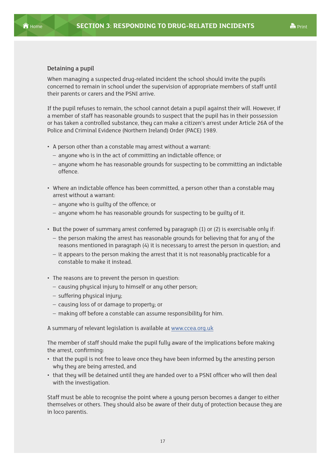#### Detaining a pupil

When managing a suspected drug-related incident the school should invite the pupils concerned to remain in school under the supervision of appropriate members of staff until their parents or carers and the PSNI arrive.

If the pupil refuses to remain, the school cannot detain a pupil against their will. However, if a member of staff has reasonable grounds to suspect that the pupil has in their possession or has taken a controlled substance, they can make a citizen's arrest under Article 26A of the Police and Criminal Evidence (Northern Ireland) Order (PACE) 1989.

- A person other than a constable may arrest without a warrant:
	- anyone who is in the act of committing an indictable offence; or
	- anyone whom he has reasonable grounds for suspecting to be committing an indictable offence.
- Where an indictable offence has been committed, a person other than a constable may arrest without a warrant:
	- anyone who is guilty of the offence; or
	- anyone whom he has reasonable grounds for suspecting to be guilty of it.
- But the power of summary arrest conferred by paragraph (1) or (2) is exercisable only if:
	- the person making the arrest has reasonable grounds for believing that for any of the reasons mentioned in paragraph (4) it is necessary to arrest the person in question; and
	- it appears to the person making the arrest that it is not reasonably practicable for a constable to make it instead.
- The reasons are to prevent the person in question:
	- causing physical injury to himself or any other person;
	- suffering physical injury;
	- causing loss of or damage to property; or
	- making off before a constable can assume responsibility for him.

A summary of relevant legislation is available at www.ccea.org.uk

The member of staff should make the pupil fully aware of the implications before making the arrest, confirming:

- that the pupil is not free to leave once they have been informed by the arresting person why they are being arrested, and
- that they will be detained until they are handed over to a PSNI officer who will then deal with the investigation.

Staff must be able to recognise the point where a young person becomes a danger to either themselves or others. They should also be aware of their duty of protection because they are in loco parentis.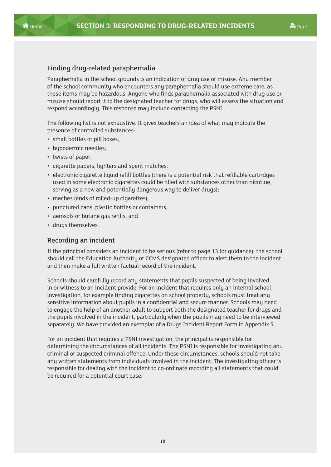

#### Finding drug-related paraphernalia

Paraphernalia in the school grounds is an indication of drug use or misuse. Any member of the school community who encounters any paraphernalia should use extreme care, as these items may be hazardous. Anyone who finds paraphernalia associated with drug use or misuse should report it to the designated teacher for drugs, who will assess the situation and respond accordingly. This response may include contacting the PSNI.

The following list is not exhaustive. It gives teachers an idea of what may indicate the presence of controlled substances:

- small bottles or pill boxes;
- hypodermic needles;
- twists of paper;
- cigarette papers, lighters and spent matches;
- electronic cigarette liquid refill bottles (there is a potential risk that refillable cartridges used in some electronic cigarettes could be filled with substances other than nicotine, serving as a new and potentially dangerous way to deliver drugs);
- roaches (ends of rolled-up cigarettes);
- punctured cans, plastic bottles or containers;
- aerosols or butane gas refills; and
- drugs themselves.

#### Recording an incident

If the principal considers an incident to be serious (refer to page 13 for guidance), the school should call the Education Authority or CCMS designated officer to alert them to the incident and then make a full written factual record of the incident.

Schools should carefully record any statements that pupils suspected of being involved in or witness to an incident provide. For an incident that requires only an internal school investigation, for example finding cigarettes on school property, schools must treat any sensitive information about pupils in a confidential and secure manner. Schools may need to engage the help of an another adult to support both the designated teacher for drugs and the pupils involved in the incident, particularly when the pupils may need to be interviewed separately. We have provided an exemplar of a Drugs Incident Report Form in Appendix 5.

For an incident that requires a PSNI investigation, the principal is responsible for determining the circumstances of all incidents. The PSNI is responsible for investigating any criminal or suspected criminal offence. Under these circumstances, schools should not take any written statements from individuals involved in the incident. The investigating officer is responsible for dealing with the incident to co-ordinate recording all statements that could be required for a potential court case.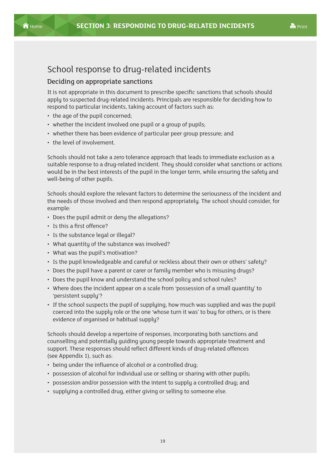# <span id="page-24-0"></span>School response to drug-related incidents

#### Deciding on appropriate sanctions

It is not appropriate in this document to prescribe specific sanctions that schools should apply to suspected drug-related incidents. Principals are responsible for deciding how to respond to particular incidents, taking account of factors such as:

- the age of the pupil concerned;
- whether the incident involved one pupil or a group of pupils;
- whether there has been evidence of particular peer group pressure; and
- the level of involvement.

Schools should not take a zero tolerance approach that leads to immediate exclusion as a suitable response to a drug-related incident. They should consider what sanctions or actions would be in the best interests of the pupil in the longer term, while ensuring the safety and well-being of other pupils.

Schools should explore the relevant factors to determine the seriousness of the incident and the needs of those involved and then respond appropriately. The school should consider, for example:

- Does the pupil admit or deny the allegations?
- Is this a first offence?
- Is the substance legal or illegal?
- What quantity of the substance was involved?
- What was the pupil's motivation?
- Is the pupil knowledgeable and careful or reckless about their own or others' safety?
- Does the pupil have a parent or carer or family member who is misusing drugs?
- Does the pupil know and understand the school policy and school rules?
- Where does the incident appear on a scale from 'possession of a small quantity' to 'persistent supply'?
- If the school suspects the pupil of supplying, how much was supplied and was the pupil coerced into the supply role or the one 'whose turn it was' to buy for others, or is there evidence of organised or habitual supply?

Schools should develop a repertoire of responses, incorporating both sanctions and counselling and potentially guiding young people towards appropriate treatment and support. These responses should reflect different kinds of drug-related offences (see Appendix 1), such as:

- being under the influence of alcohol or a controlled drug;
- possession of alcohol for individual use or selling or sharing with other pupils;
- possession and/or possession with the intent to supply a controlled drug; and
- supplying a controlled drug, either giving or selling to someone else.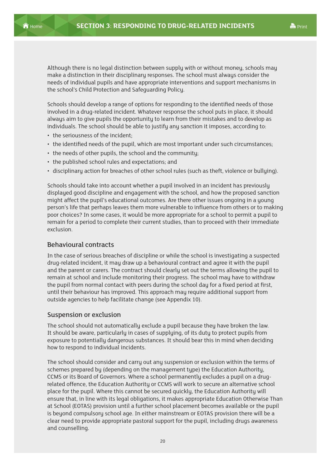Although there is no legal distinction between supply with or without money, schools may make a distinction in their disciplinary responses. The school must always consider the needs of individual pupils and have appropriate interventions and support mechanisms in the school's Child Protection and Safeguarding Policy.

Schools should develop a range of options for responding to the identified needs of those involved in a drug-related incident. Whatever response the school puts in place, it should always aim to give pupils the opportunity to learn from their mistakes and to develop as individuals. The school should be able to justify any sanction it imposes, according to:

- the seriousness of the incident;
- the identified needs of the pupil, which are most important under such circumstances;
- the needs of other pupils, the school and the community;
- the published school rules and expectations; and
- disciplinary action for breaches of other school rules (such as theft, violence or bullying).

Schools should take into account whether a pupil involved in an incident has previously displayed good discipline and engagement with the school, and how the proposed sanction might affect the pupil's educational outcomes. Are there other issues ongoing in a young person's life that perhaps leaves them more vulnerable to influence from others or to making poor choices? In some cases, it would be more appropriate for a school to permit a pupil to remain for a period to complete their current studies, than to proceed with their immediate exclusion.

#### Behavioural contracts

In the case of serious breaches of discipline or while the school is investigating a suspected drug-related incident, it may draw up a behavioural contract and agree it with the pupil and the parent or carers. The contract should clearly set out the terms allowing the pupil to remain at school and include monitoring their progress. The school may have to withdraw the pupil from normal contact with peers during the school day for a fixed period at first, until their behaviour has improved. This approach may require additional support from outside agencies to help facilitate change (see Appendix 10).

#### Suspension or exclusion

The school should not automatically exclude a pupil because they have broken the law. It should be aware, particularly in cases of supplying, of its duty to protect pupils from exposure to potentially dangerous substances. It should bear this in mind when deciding how to respond to individual incidents.

The school should consider and carry out any suspension or exclusion within the terms of schemes prepared by (depending on the management type) the Education Authority, CCMS or its Board of Governors. Where a school permanently excludes a pupil on a drugrelated offence, the Education Authority or CCMS will work to secure an alternative school place for the pupil. Where this cannot be secured quickly, the Education Authority will ensure that, in line with its legal obligations, it makes appropriate Education Otherwise Than at School (EOTAS) provision until a further school placement becomes available or the pupil is beyond compulsory school age. In either mainstream or EOTAS provision there will be a clear need to provide appropriate pastoral support for the pupil, including drugs awareness and counselling.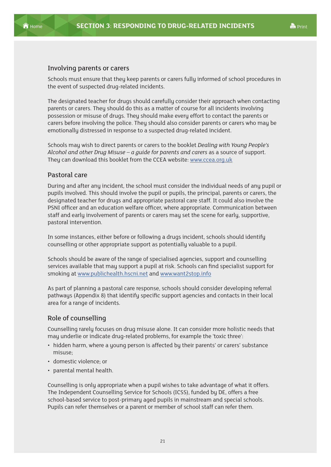

#### Involving parents or carers

Schools must ensure that they keep parents or carers fully informed of school procedures in the event of suspected drug-related incidents.

The designated teacher for drugs should carefully consider their approach when contacting parents or carers. They should do this as a matter of course for all incidents involving possession or misuse of drugs. They should make every effort to contact the parents or carers before involving the police. They should also consider parents or carers who may be emotionally distressed in response to a suspected drug-related incident.

Schools may wish to direct parents or carers to the booklet *Dealing with Young People's Alcohol and other Drug Misuse – a guide for parents and carers* as a source of support. They can download this booklet from the CCEA website: www.ccea.org.uk

#### Pastoral care

During and after any incident, the school must consider the individual needs of any pupil or pupils involved. This should involve the pupil or pupils, the principal, parents or carers, the designated teacher for drugs and appropriate pastoral care staff. It could also involve the PSNI officer and an education welfare officer, where appropriate. Communication between staff and early involvement of parents or carers may set the scene for early, supportive, pastoral intervention.

In some instances, either before or following a drugs incident, schools should identify counselling or other appropriate support as potentially valuable to a pupil.

Schools should be aware of the range of specialised agencies, support and counselling services available that may support a pupil at risk. Schools can find specialist support for smoking at www.publichealth.hscni.net and www.want2stop.info

As part of planning a pastoral care response, schools should consider developing referral pathways (Appendix 8) that identify specific support agencies and contacts in their local area for a range of incidents.

#### Role of counselling

Counselling rarely focuses on drug misuse alone. It can consider more holistic needs that may underlie or indicate drug-related problems, for example the 'toxic three':

- hidden harm, where a young person is affected by their parents' or carers' substance misuse;
- domestic violence; or
- parental mental health.

Counselling is only appropriate when a pupil wishes to take advantage of what it offers. The Independent Counselling Service for Schools (ICSS), funded by DE, offers a free school-based service to post-primary aged pupils in mainstream and special schools. Pupils can refer themselves or a parent or member of school staff can refer them.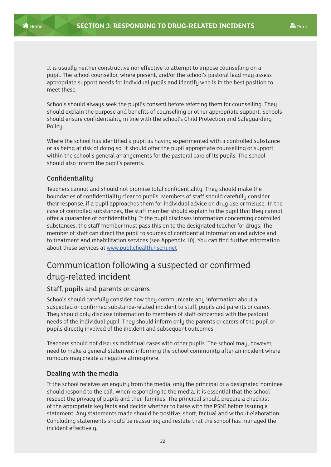<span id="page-27-0"></span>

It is usually neither constructive nor effective to attempt to impose counselling on a pupil. The school counsellor, where present, and/or the school's pastoral lead may assess appropriate support needs for individual pupils and identify who is in the best position to meet these.

Schools should always seek the pupil's consent before referring them for counselling. They should explain the purpose and benefits of counselling or other appropriate support. Schools should ensure confidentiality in line with the school's Child Protection and Safeguarding Policy.

Where the school has identified a pupil as having experimented with a controlled substance or as being at risk of doing so, it should offer the pupil appropriate counselling or support within the school's general arrangements for the pastoral care of its pupils. The school should also inform the pupil's parents.

#### Confidentiality

Teachers cannot and should not promise total confidentiality. They should make the boundaries of confidentiality clear to pupils. Members of staff should carefully consider their response, if a pupil approaches them for individual advice on drug use or misuse. In the case of controlled substances, the staff member should explain to the pupil that they cannot offer a guarantee of confidentiality. If the pupil discloses information concerning controlled substances, the staff member must pass this on to the designated teacher for drugs. The member of staff can direct the pupil to sources of confidential information and advice and to treatment and rehabilitation services (see Appendix 10). You can find further information about these services at www.publichealth.hscni.net

# Communication following a suspected or confirmed drug-related incident

#### Staff, pupils and parents or carers

Schools should carefully consider how they communicate any information about a suspected or confirmed substance-related incident to staff, pupils and parents or carers. They should only disclose information to members of staff concerned with the pastoral needs of the individual pupil. They should inform only the parents or carers of the pupil or pupils directly involved of the incident and subsequent outcomes.

Teachers should not discuss individual cases with other pupils. The school may, however, need to make a general statement informing the school community after an incident where rumours may create a negative atmosphere.

#### Dealing with the media

If the school receives an enquiry from the media, only the principal or a designated nominee should respond to the call. When responding to the media, it is essential that the school respect the privacy of pupils and their families. The principal should prepare a checklist of the appropriate key facts and decide whether to liaise with the PSNI before issuing a statement. Any statements made should be positive, short, factual and without elaboration. Concluding statements should be reassuring and restate that the school has managed the incident effectively.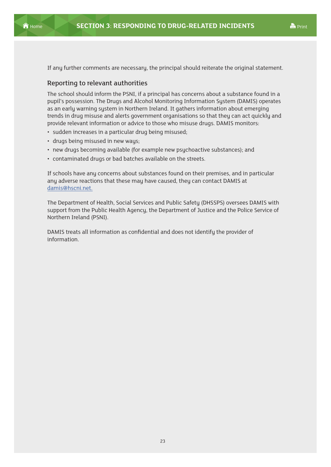

If any further comments are necessary, the principal should reiterate the original statement.

#### Reporting to relevant authorities

The school should inform the PSNI, if a principal has concerns about a substance found in a pupil's possession. The Drugs and Alcohol Monitoring Information System (DAMIS) operates as an early warning system in Northern Ireland. It gathers information about emerging trends in drug misuse and alerts government organisations so that they can act quickly and provide relevant information or advice to those who misuse drugs. DAMIS monitors:

- sudden increases in a particular drug being misused;
- drugs being misused in new ways;
- new drugs becoming available (for example new psychoactive substances); and
- contaminated drugs or bad batches available on the streets.

If schools have any concerns about substances found on their premises, and in particular any adverse reactions that these may have caused, they can contact DAMIS at damis@hscni.net.

The Department of Health, Social Services and Public Safety (DHSSPS) oversees DAMIS with support from the Public Health Agency, the Department of Justice and the Police Service of Northern Ireland (PSNI).

DAMIS treats all information as confidential and does not identify the provider of information.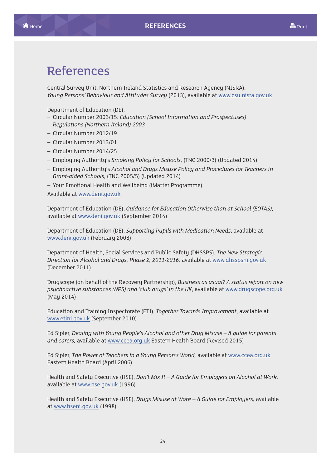# <span id="page-29-0"></span>References

Central Survey Unit, Northern Ireland Statistics and Research Agency (NISRA), *Young Persons' Behaviour and Attitudes Survey* (2013), available at www.csu.nisra.gov.uk

Department of Education (DE),

- Circular Number 2003/15: *Education (School Information and Prospectuses) Regulations (Northern Ireland) 2003*
- Circular Number 2012/19
- Circular Number 2013/01
- Circular Number 2014/25
- Employing Authority's *Smoking Policy for Schools*, (TNC 2000/3) (Updated 2014)
- Employing Authority's *Alcohol and Drugs Misuse Policy and Procedures for Teachers in Grant-aided Schools*, (TNC 2005/5) (Updated 2014)
- Your Emotional Health and Wellbeing (iMatter Programme)

Available at www.deni.gov.uk

Department of Education (DE), *Guidance for Education Otherwise than at School (EOTAS),*  available at www.deni.gov.uk (September 2014)

Department of Education (DE), *Supporting Pupils with Medication Needs*, available at www.deni.gov.uk (February 2008)

Department of Health, Social Services and Public Safety (DHSSPS), *The New Strategic Direction for Alcohol and Drugs, Phase 2, 2011-2016,* available at www.dhsspsni.gov.uk (December 2011)

Drugscope (on behalf of the Recovery Partnership), *Business as usual? A status report on new psychoactive substances (NPS) and 'club drugs' in the UK*, available at www.drugscope.org.uk (May 2014)

Education and Training Inspectorate (ETI), *Together Towards Improvement*, available at www.etini.gov.uk (September 2010)

Ed Sipler, *Dealing with Young People's Alcohol and other Drug Misuse – A guide for parents and carers,* available at www.ccea.org.uk Eastern Health Board (Revised 2015)

Ed Sipler, *The Power of Teachers in a Young Person's World,* available at www.ccea.org.uk Eastern Health Board (April 2006)

Health and Safety Executive (HSE), *Don't Mix It – A Guide for Employers on Alcohol at Work,* available at www.hse.gov.uk (1996)

Health and Safety Executive (HSE), *Drugs Misuse at Work – A Guide for Employers,* available at www.hseni.gov.uk (1998)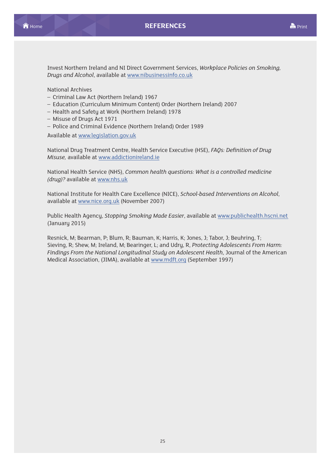Invest Northern Ireland and NI Direct Government Services, *Workplace Policies on Smoking, Drugs and Alcohol*, available at www.nibusinessinfo.co.uk

National Archives

- Criminal Law Act (Northern Ireland) 1967
- Education (Curriculum Minimum Content) Order (Northern Ireland) 2007
- Health and Safety at Work (Northern Ireland) 1978
- Misuse of Drugs Act 1971
- Police and Criminal Evidence (Northern Ireland) Order 1989

Available at www.legislation.gov.uk

National Drug Treatment Centre, Health Service Executive (HSE), *FAQs: Definition of Drug Misuse,* available at www.addictionireland.ie

National Health Service (NHS), *Common health questions: What is a controlled medicine (drug)?* available at www.nhs.uk

National Institute for Health Care Excellence (NICE), *School-based Interventions on Alcohol*, available at www.nice.org.uk (November 2007)

Public Health Agency, *Stopping Smoking Made Easier*, available at www.publichealth.hscni.net (January 2015)

Resnick, M; Bearman, P; Blum, R; Bauman, K; Harris, K; Jones, J; Tabor, J; Beuhring, T; Sieving, R; Shew, M; Ireland, M; Bearinger, L; and Udry, R, *Protecting Adolescents From Harm: Findings From the National Longitudinal Study on Adolescent Health*, Journal of the American Medical Association, (JIMA), available at www.mdft.org (September 1997)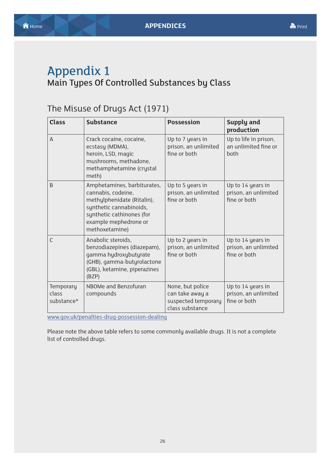# <span id="page-31-0"></span>Appendix 1 Main Types Of Controlled Substances by Class

# The Misuse of Drugs Act (1971)

| <b>Class</b>                     | <b>Substance</b>                                                                                                                                                                   | <b>Possession</b>                                                             | Supply and<br>production                                  |
|----------------------------------|------------------------------------------------------------------------------------------------------------------------------------------------------------------------------------|-------------------------------------------------------------------------------|-----------------------------------------------------------|
| A                                | Crack cocaine, cocaine,<br>ecstasy (MDMA),<br>heroin, LSD, magic<br>mushrooms, methadone,<br>methamphetamine (crystal<br>meth)                                                     | Up to 7 years in<br>prison, an unlimited<br>fine or both                      | Up to life in prison,<br>an unlimited fine or<br>hoth     |
| B                                | Amphetamines, barbiturates,<br>cannabis, codeine,<br>methylphenidate (Ritalin),<br>synthetic cannabinoids,<br>synthetic cathinones (for<br>example mephedrone or<br>methoxetamine) | Up to 5 years in<br>prison, an unlimited<br>fine or both                      | Up to 14 years in<br>prison, an unlimited<br>fine or both |
| $\mathsf{C}$                     | Anabolic steroids,<br>benzodiazepines (diazepam),<br>gamma hydroxybutyrate<br>(GHB), gamma-butyrolactone<br>(GBL), ketamine, piperazines<br>(BZP)                                  | Up to 2 years in<br>prison, an unlimited<br>fine or both                      | Up to 14 years in<br>prison, an unlimited<br>fine or both |
| Temporary<br>class<br>substance* | NBOMe and Benzofuran<br>compounds                                                                                                                                                  | None, but police<br>can take away a<br>suspected temporary<br>class substance | Up to 14 years in<br>prison, an unlimited<br>fine or both |

www.gov.uk/penalties-drug-possession-dealing

Please note the above table refers to some commonly available drugs. It is not a complete list of controlled drugs.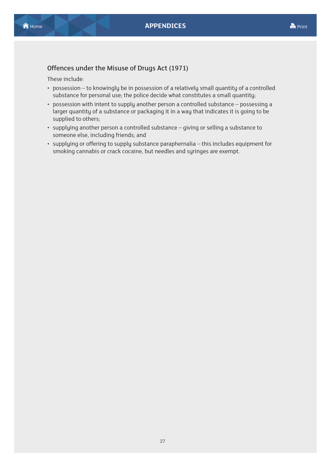#### Offences under the Misuse of Drugs Act (1971)

These include:

- possession to knowingly be in possession of a relatively small quantity of a controlled substance for personal use; the police decide what constitutes a small quantity;
- possession with intent to supply another person a controlled substance possessing a larger quantity of a substance or packaging it in a way that indicates it is going to be supplied to others;
- supplying another person a controlled substance giving or selling a substance to someone else, including friends; and
- supplying or offering to supply substance paraphernalia this includes equipment for smoking cannabis or crack cocaine, but needles and syringes are exempt.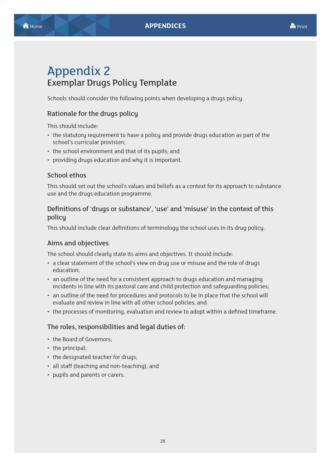# <span id="page-33-0"></span>Appendix 2 Exemplar Drugs Policy Template

Schools should consider the following points when developing a drugs policy.

#### Rationale for the drugs policy

This should include:

- the statutory requirement to have a policy and provide drugs education as part of the school's curricular provision;
- the school environment and that of its pupils; and
- providing drugs education and why it is important.

#### School ethos

This should set out the school's values and beliefs as a context for its approach to substance use and the drugs education programme.

#### Definitions of 'drugs or substance', 'use' and 'misuse' in the context of this policy

This should include clear definitions of terminology the school uses in its drug policy.

#### Aims and objectives

The school should clearly state its aims and objectives. It should include:

- a clear statement of the school's view on drug use or misuse and the role of drugs education;
- an outline of the need for a consistent approach to drugs education and managing incidents in line with its pastoral care and child protection and safeguarding policies;
- an outline of the need for procedures and protocols to be in place that the school will evaluate and review in line with all other school policies; and
- the processes of monitoring, evaluation and review to adopt within a defined timeframe.

#### The roles, responsibilities and legal duties of:

- the Board of Governors;
- the principal;
- the designated teacher for drugs;
- all staff (teaching and non-teaching); and
- pupils and parents or carers.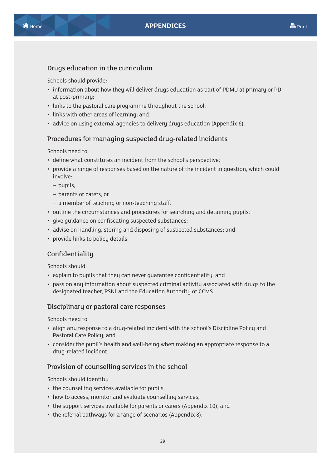### Drugs education in the curriculum

Schools should provide:

- information about how they will deliver drugs education as part of PDMU at primary or PD at post-primary;
- links to the pastoral care programme throughout the school;
- links with other areas of learning; and
- advice on using external agencies to delivery drugs education (Appendix 6).

### Procedures for managing suspected drug-related incidents

Schools need to:

- define what constitutes an incident from the school's perspective;
- provide a range of responses based on the nature of the incident in question, which could involve:
	- pupils,
	- parents or carers, or
	- a member of teaching or non-teaching staff.
- outline the circumstances and procedures for searching and detaining pupils;
- give guidance on confiscating suspected substances;
- advise on handling, storing and disposing of suspected substances; and
- provide links to policy details.

### **Confidentialitu**

Schools should:

- explain to pupils that they can never guarantee confidentiality; and
- pass on any information about suspected criminal activity associated with drugs to the designated teacher, PSNI and the Education Authority or CCMS.

#### Disciplinary or pastoral care responses

Schools need to:

- align any response to a drug-related incident with the school's Discipline Policy and Pastoral Care Policy; and
- consider the pupil's health and well-being when making an appropriate response to a drug-related incident.

#### Provision of counselling services in the school

Schools should identify:

- the counselling services available for pupils;
- how to access, monitor and evaluate counselling services;
- the support services available for parents or carers (Appendix 10); and
- the referral pathways for a range of scenarios (Appendix 8).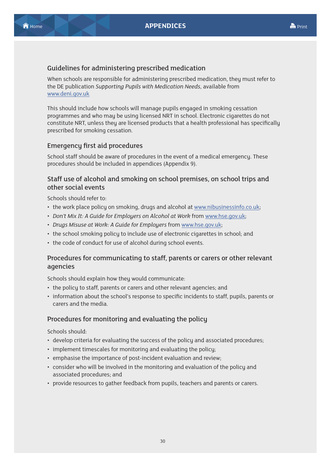#### Guidelines for administering prescribed medication

When schools are responsible for administering prescribed medication, they must refer to the DE publication *Supporting Pupils with Medication Needs*, available from www.deni.gov.uk

This should include how schools will manage pupils engaged in smoking cessation programmes and who may be using licensed NRT in school. Electronic cigarettes do not constitute NRT, unless they are licensed products that a health professional has specifically prescribed for smoking cessation.

#### Emergency first aid procedures

School staff should be aware of procedures in the event of a medical emergency. These procedures should be included in appendices (Appendix 9).

#### Staff use of alcohol and smoking on school premises, on school trips and other social events

Schools should refer to:

- the work place policy on smoking, drugs and alcohol at www.nibusinessinfo.co.uk;
- *Don't Mix It: A Guide for Employers on Alcohol at Work* from www.hse.gov.uk;
- *Drugs Misuse at Work: A Guide for Employers* from www.hse.gov.uk;
- the school smoking policy to include use of electronic cigarettes in school; and
- the code of conduct for use of alcohol during school events.

#### Procedures for communicating to staff, parents or carers or other relevant agencies

Schools should explain how they would communicate:

- the policy to staff, parents or carers and other relevant agencies; and
- information about the school's response to specific incidents to staff, pupils, parents or carers and the media.

#### Procedures for monitoring and evaluating the policy

Schools should:

- develop criteria for evaluating the success of the policy and associated procedures;
- implement timescales for monitoring and evaluating the policy;
- emphasise the importance of post-incident evaluation and review;
- consider who will be involved in the monitoring and evaluation of the policy and associated procedures; and
- provide resources to gather feedback from pupils, teachers and parents or carers.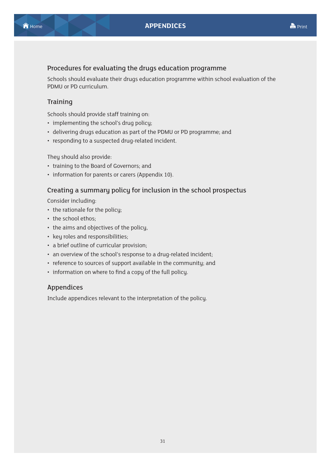#### Procedures for evaluating the drugs education programme

Schools should evaluate their drugs education programme within school evaluation of the PDMU or PD curriculum.

#### **Training**

Schools should provide staff training on:

- implementing the school's drug policy;
- delivering drugs education as part of the PDMU or PD programme; and
- responding to a suspected drug-related incident.

They should also provide:

- training to the Board of Governors; and
- information for parents or carers (Appendix 10).

#### Creating a summary policy for inclusion in the school prospectus

Consider including:

- the rationale for the policu:
- the school ethos;
- the aims and objectives of the policy,
- key roles and responsibilities;
- a brief outline of curricular provision;
- an overview of the school's response to a drug-related incident;
- reference to sources of support available in the community; and
- information on where to find a copy of the full policy.

#### Appendices

Include appendices relevant to the interpretation of the policy.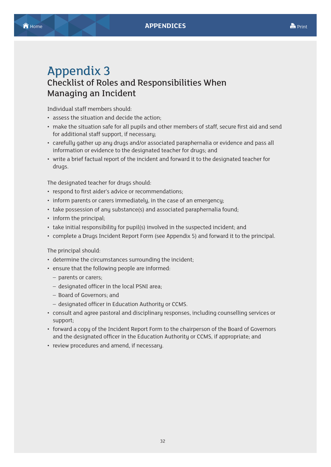# <span id="page-37-0"></span>Appendix 3 Checklist of Roles and Responsibilities When Managing an Incident

Individual staff members should:

- assess the situation and decide the action;
- make the situation safe for all pupils and other members of staff, secure first aid and send for additional staff support, if necessary;
- carefully gather up any drugs and/or associated paraphernalia or evidence and pass all information or evidence to the designated teacher for drugs; and
- write a brief factual report of the incident and forward it to the designated teacher for drugs.

The designated teacher for drugs should:

- respond to first aider's advice or recommendations;
- inform parents or carers immediately, in the case of an emergency;
- take possession of any substance(s) and associated paraphernalia found;
- inform the principal;
- take initial responsibility for pupil(s) involved in the suspected incident; and
- complete a Drugs Incident Report Form (see Appendix 5) and forward it to the principal.

#### The principal should:

- determine the circumstances surrounding the incident;
- ensure that the following people are informed:
	- parents or carers;
	- designated officer in the local PSNI area;
	- Board of Governors; and
	- designated officer in Education Authority or CCMS.
- consult and agree pastoral and disciplinary responses, including counselling services or support;
- forward a copy of the Incident Report Form to the chairperson of the Board of Governors and the designated officer in the Education Authority or CCMS, if appropriate; and
- review procedures and amend, if necessary.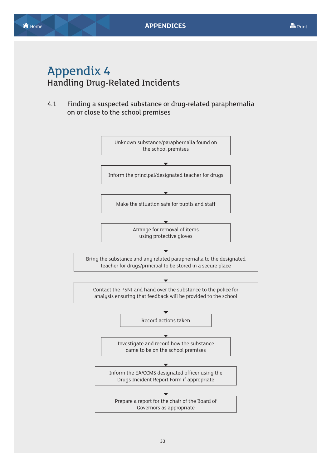<span id="page-38-0"></span>**A** [Home](#page-1-0) **[APPENDICES](#page-5-0) APPENDICES** 

# Appendix 4 Handling Drug-Related Incidents

4.1 Finding a suspected substance or drug-related paraphernalia on or close to the school premises

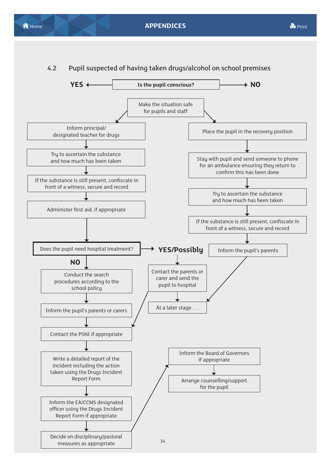



#### 4.2 Pupil suspected of having taken drugs/alcohol on school premises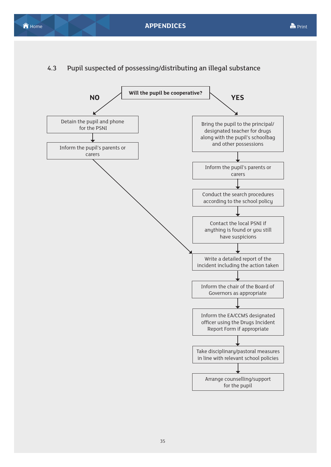### 4.3 Pupil suspected of possessing/distributing an illegal substance

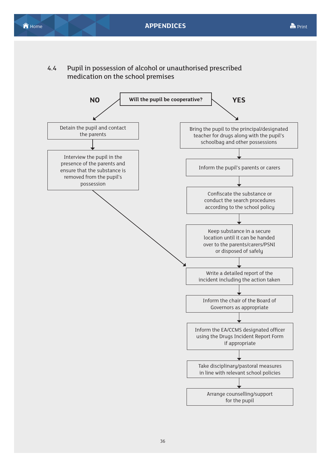4.4 Pupil in possession of alcohol or unauthorised prescribed medication on the school premises

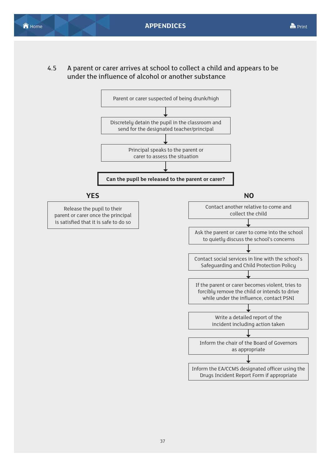4.5 A parent or carer arrives at school to collect a child and appears to be under the influence of alcohol or another substance

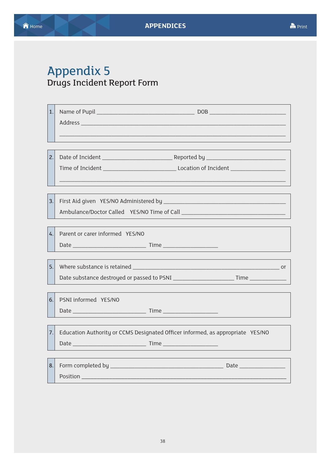# <span id="page-43-0"></span>Appendix 5 Drugs Incident Report Form

| 1.<br>2. |                                                                                                                |
|----------|----------------------------------------------------------------------------------------------------------------|
|          |                                                                                                                |
| 3.       |                                                                                                                |
| 4.       | Parent or carer informed YES/NO                                                                                |
| 5.       |                                                                                                                |
|          |                                                                                                                |
| 6.       | PSNI informed YES/NO                                                                                           |
| 7.       | Education Authority or CCMS Designated Officer informed, as appropriate YES/NO                                 |
| 8.       | Position Position Position Position Position Position Position Position Position Position Position Position Po |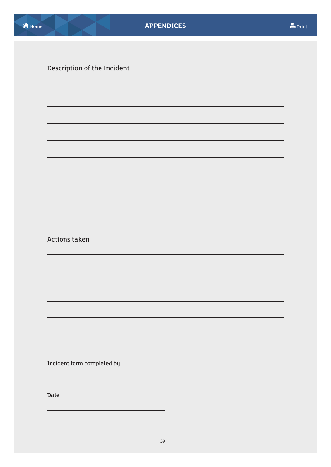Description of the Incident

Actions taken

Incident form completed by

Date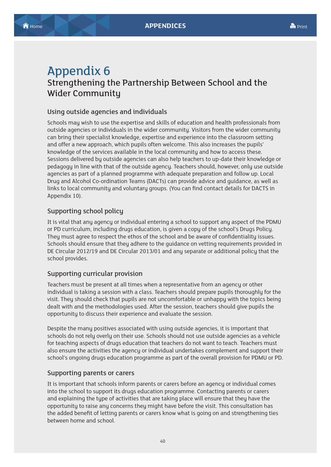# <span id="page-45-0"></span>Appendix 6 Strengthening the Partnership Between School and the Wider Community

#### Using outside agencies and individuals

Schools may wish to use the expertise and skills of education and health professionals from outside agencies or individuals in the wider community. Visitors from the wider community can bring their specialist knowledge, expertise and experience into the classroom setting and offer a new approach, which pupils often welcome. This also increases the pupils' knowledge of the services available in the local community and how to access these. Sessions delivered by outside agencies can also help teachers to up-date their knowledge or pedagogy in line with that of the outside agency. Teachers should, however, only use outside agencies as part of a planned programme with adequate preparation and follow up. Local Drug and Alcohol Co-ordination Teams (DACTs) can provide advice and guidance, as well as links to local community and voluntary groups. (You can find contact details for DACTS in Appendix 10).

#### Supporting school policy

It is vital that any agency or individual entering a school to support any aspect of the PDMU or PD curriculum, including drugs education, is given a copy of the school's Drugs Policy. They must agree to respect the ethos of the school and be aware of confidentiality issues. Schools should ensure that they adhere to the guidance on vetting requirements provided in DE Circular 2012/19 and DE Circular 2013/01 and any separate or additional policy that the school provides.

#### Supporting curricular provision

Teachers must be present at all times when a representative from an agency or other individual is taking a session with a class. Teachers should prepare pupils thoroughly for the visit. They should check that pupils are not uncomfortable or unhappy with the topics being dealt with and the methodologies used. After the session, teachers should give pupils the opportunity to discuss their experience and evaluate the session.

Despite the many positives associated with using outside agencies, it is important that schools do not rely overly on their use. Schools should not use outside agencies as a vehicle for teaching aspects of drugs education that teachers do not want to teach. Teachers must also ensure the activities the agency or individual undertakes complement and support their school's ongoing drugs education programme as part of the overall provision for PDMU or PD.

#### Supporting parents or carers

It is important that schools inform parents or carers before an agency or individual comes into the school to support its drugs education programme. Contacting parents or carers and explaining the type of activities that are taking place will ensure that they have the opportunity to raise any concerns they might have before the visit. This consultation has the added benefit of letting parents or carers know what is going on and strengthening ties between home and school.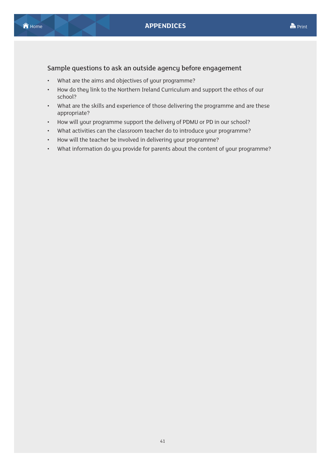### Sample questions to ask an outside agency before engagement

- What are the aims and objectives of your programme?
- How do they link to the Northern Ireland Curriculum and support the ethos of our school?
- What are the skills and experience of those delivering the programme and are these appropriate?
- How will your programme support the delivery of PDMU or PD in our school?
- What activities can the classroom teacher do to introduce your programme?
- How will the teacher be involved in delivering your programme?
- What information do you provide for parents about the content of your programme?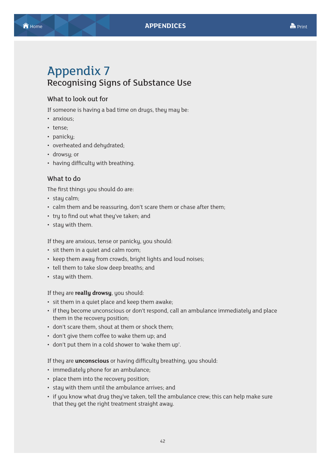# <span id="page-47-0"></span>Appendix 7 Recognising Signs of Substance Use

#### What to look out for

If someone is having a bad time on drugs, they may be:

- anxious;
- tense;
- panicky;
- overheated and dehydrated;
- drowsy; or
- having difficulty with breathing.

#### What to do

The first things you should do are:

- stay calm;
- calm them and be reassuring, don't scare them or chase after them;
- tru to find out what theu've taken: and
- stay with them.

If they are anxious, tense or panicky, you should:

- sit them in a quiet and calm room;
- keep them away from crowds, bright lights and loud noises;
- tell them to take slow deep breaths; and
- stay with them.

#### If they are **really drowsy**, you should:

- sit them in a quiet place and keep them awake;
- if they become unconscious or don't respond, call an ambulance immediately and place them in the recovery position;
- don't scare them, shout at them or shock them;
- don't give them coffee to wake them up; and
- don't put them in a cold shower to 'wake them up'.

#### If they are **unconscious** or having difficulty breathing, you should:

- immediately phone for an ambulance;
- place them into the recovery position;
- stay with them until the ambulance arrives; and
- if you know what drug they've taken, tell the ambulance crew; this can help make sure that they get the right treatment straight away.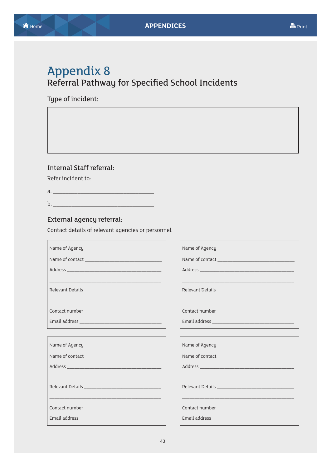# <span id="page-48-0"></span>**Appendix 8** Referral Pathway for Specified School Incidents

Type of incident:

#### **Internal Staff referral:**

Refer incident to:

 $b.$ 

#### External agency referral:

Contact details of relevant agencies or personnel.

| Relevant Details |
|------------------|
|                  |
|                  |
|                  |
| Name of Agency   |
| Name of contact  |
|                  |
|                  |
|                  |
|                  |
|                  |
|                  |

Name of Agency \_\_

Name of contact\_

Address\_

Contact number\_

Email address \_\_

Name of Agency

Name of contact

Address\_

Relevant Details

Contact number

Email address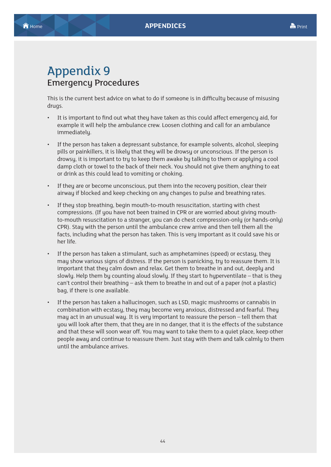# <span id="page-49-0"></span>Appendix 9 Emergency Procedures

This is the current best advice on what to do if someone is in difficulty because of misusing drugs.

- It is important to find out what they have taken as this could affect emergency aid, for example it will help the ambulance crew. Loosen clothing and call for an ambulance immediatelu.
- If the person has taken a depressant substance, for example solvents, alcohol, sleeping pills or painkillers, it is likely that they will be drowsy or unconscious. If the person is drowsy, it is important to try to keep them awake by talking to them or applying a cool damp cloth or towel to the back of their neck. You should not give them anything to eat or drink as this could lead to vomiting or choking.
- If they are or become unconscious, put them into the recovery position, clear their airway if blocked and keep checking on any changes to pulse and breathing rates.
- If they stop breathing, begin mouth-to-mouth resuscitation, starting with chest compressions. (If you have not been trained in CPR or are worried about giving mouthto-mouth resuscitation to a stranger, you can do chest compression-only (or hands-only) CPR). Stay with the person until the ambulance crew arrive and then tell them all the facts, including what the person has taken. This is very important as it could save his or her life.
- If the person has taken a stimulant, such as amphetamines (speed) or ecstasy, they may show various signs of distress. If the person is panicking, try to reassure them. It is important that they calm down and relax. Get them to breathe in and out, deeply and slowly. Help them by counting aloud slowly. If they start to hyperventilate – that is they can't control their breathing – ask them to breathe in and out of a paper (not a plastic) bag, if there is one available.
- If the person has taken a hallucinogen, such as LSD, magic mushrooms or cannabis in combination with ecstasy, they may become very anxious, distressed and fearful. They may act in an unusual way. It is very important to reassure the person – tell them that you will look after them, that they are in no danger, that it is the effects of the substance and that these will soon wear off. You may want to take them to a quiet place, keep other people away and continue to reassure them. Just stay with them and talk calmly to them until the ambulance arrives.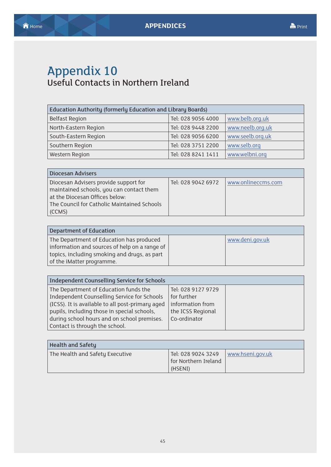# <span id="page-50-0"></span>Appendix 10 Useful Contacts in Northern Ireland

| Education Authority (formerly Education and Library Boards) |                    |                  |
|-------------------------------------------------------------|--------------------|------------------|
| <b>Belfast Region</b>                                       | Tel: 028 9056 4000 | www.belb.org.uk  |
| North-Eastern Region                                        | Tel: 028 9448 2200 | www.neelb.org.uk |
| South-Eastern Region                                        | Tel: 028 9056 6200 | www.seelb.org.uk |
| Southern Region                                             | Tel: 028 3751 2200 | www.selb.org     |
| Western Region                                              | Tel: 028 8241 1411 | www.welbni.org   |

| Diocesan Advisers                           |                    |                    |
|---------------------------------------------|--------------------|--------------------|
| Diocesan Advisers provide support for       | Tel: 028 9042 6972 | www.onlineccms.com |
| maintained schools, you can contact them    |                    |                    |
| at the Diocesan Offices below:              |                    |                    |
| The Council for Catholic Maintained Schools |                    |                    |
| CCMS)                                       |                    |                    |

| Department of Education                       |  |                 |  |
|-----------------------------------------------|--|-----------------|--|
| The Department of Education has produced      |  | www.deni.gov.uk |  |
| information and sources of help on a range of |  |                 |  |
| topics, including smoking and drugs, as part  |  |                 |  |
| of the iMatter programme.                     |  |                 |  |

| Independent Counselling Service for Schools      |                    |  |
|--------------------------------------------------|--------------------|--|
| The Department of Education funds the            | Tel: 028 9127 9729 |  |
| Independent Counselling Service for Schools      | for further        |  |
| (ICSS). It is available to all post-primary aged | information from   |  |
| pupils, including those in special schools,      | the ICSS Regional  |  |
| during school hours and on school premises.      | Co-ordinator       |  |
| Contact is through the school.                   |                    |  |

| <b>Health and Safety</b>        |                                                       |                  |
|---------------------------------|-------------------------------------------------------|------------------|
| The Health and Safety Executive | Tel: 028 9024 3249<br>for Northern Ireland<br>(HSENI) | www.hseni.gov.uk |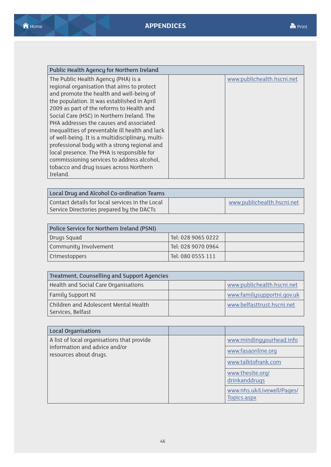| Public Health Agency for Northern Ireland        |  |                            |
|--------------------------------------------------|--|----------------------------|
| The Public Health Agency (PHA) is a              |  | www.publichealth.hscni.net |
| regional organisation that aims to protect       |  |                            |
| and promote the health and well-being of         |  |                            |
| the population. It was established in April      |  |                            |
| 2009 as part of the reforms to Health and        |  |                            |
| Social Care (HSC) in Northern Ireland. The       |  |                            |
| PHA addresses the causes and associated          |  |                            |
| inequalities of preventable ill health and lack  |  |                            |
| of well-being. It is a multidisciplinary, multi- |  |                            |
| professional body with a strong regional and     |  |                            |
| local presence. The PHA is responsible for       |  |                            |
| commissioning services to address alcohol,       |  |                            |
| tobacco and drug issues across Northern          |  |                            |
| Ireland.                                         |  |                            |

| Local Drug and Alcohol Co-ordination Teams      |                            |
|-------------------------------------------------|----------------------------|
| Contact details for local services in the Local | www.publichealth.hscni.net |
| Service Directories prepared by the DACTs       |                            |

| Police Service for Northern Ireland (PSNI) |                    |  |
|--------------------------------------------|--------------------|--|
| Drugs Squad                                | Tel: 028 9065 0222 |  |
| Community Involvement                      | Tel: 028 9070 0964 |  |
| <b>Crimestoppers</b>                       | Tel: 080 0555 111  |  |

| Treatment, Counselling and Support Agencies                |                            |  |
|------------------------------------------------------------|----------------------------|--|
| Health and Social Care Organisations                       | www.publichealth.hscni.net |  |
| Family Support NI                                          | www.familysupportni.gov.uk |  |
| Children and Adolescent Mental Health<br>Services, Belfast | www.belfasttrust.hscni.net |  |

| <b>Local Organisations</b>                                                                            |  |                                           |
|-------------------------------------------------------------------------------------------------------|--|-------------------------------------------|
| A list of local organisations that provide<br>information and advice and/or<br>resources about drugs. |  | www.mindingyourhead.info                  |
|                                                                                                       |  | www.fasaonline.org                        |
|                                                                                                       |  | www.talktofrank.com                       |
|                                                                                                       |  | www.thesite.org/<br>drinkanddrugs         |
|                                                                                                       |  | www.nhs.uk/Livewell/Pages/<br>Topics.aspx |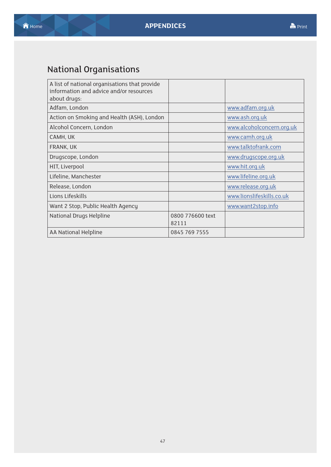# <span id="page-52-0"></span>National Organisations

| A list of national organisations that provide<br>information and advice and/or resources<br>about drugs: |                           |                           |
|----------------------------------------------------------------------------------------------------------|---------------------------|---------------------------|
| Adfam, London                                                                                            |                           | www.adfam.org.uk          |
| Action on Smoking and Health (ASH), London                                                               |                           | www.ash.org.uk            |
| Alcohol Concern, London                                                                                  |                           | www.alcoholconcern.org.uk |
| CAMH, UK                                                                                                 |                           | www.camh.org.uk           |
| FRANK, UK                                                                                                |                           | www.talktofrank.com       |
| Drugscope, London                                                                                        |                           | www.drugscope.org.uk      |
| HIT, Liverpool                                                                                           |                           | www.hit.org.uk            |
| Lifeline, Manchester                                                                                     |                           | www.lifeline.org.uk       |
| Release, London                                                                                          |                           | www.release.org.uk        |
| Lions Lifeskills                                                                                         |                           | www.lionslifeskills.co.uk |
| Want 2 Stop, Public Health Agency                                                                        |                           | www.want2stop.info        |
| National Drugs Helpline                                                                                  | 0800 776600 text<br>82111 |                           |
| AA National Helpline                                                                                     | 0845 769 7555             |                           |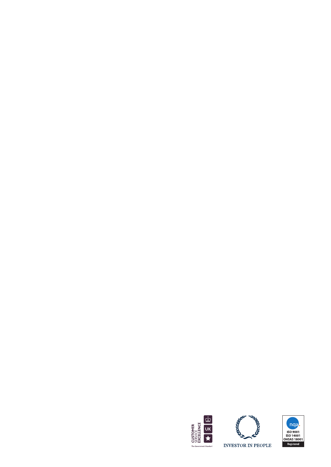